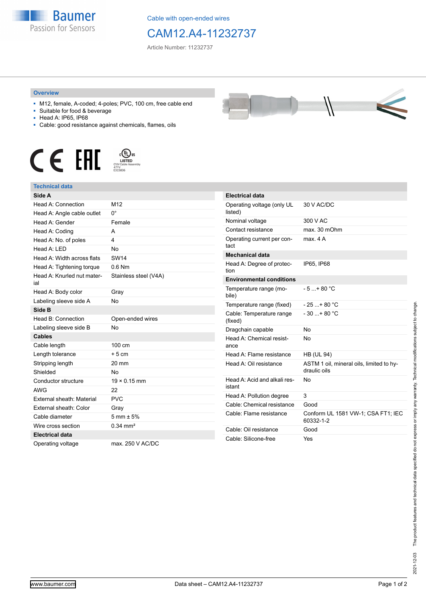

Cable with open-ended wires

## CAM12.A4-11232737

Article Number: 11232737

## **Overview**

- M12, female, A-coded; 4-poles; PVC, 100 cm, free cable end
- Suitable for food & beverage
- Head A: IP65, IP68
- Cable: good resistance against chemicals, flames, oils





## **Technical data**

| Side A                            |                        |
|-----------------------------------|------------------------|
| Head A: Connection                | M12                    |
| Head A: Angle cable outlet        | $0^{\circ}$            |
| Head A: Gender                    | Female                 |
| Head A: Coding                    | А                      |
| Head A: No. of poles              | 4                      |
| Head A: I FD                      | No                     |
| Head A: Width across flats        | <b>SW14</b>            |
| Head A: Tightening torque         | $0.6$ Nm               |
| Head A: Knurled nut mater-<br>ial | Stainless steel (V4A)  |
| Head A: Body color                | Gray                   |
| Labeling sleeve side A            | <b>No</b>              |
| Side B                            |                        |
| Head B: Connection                | Open-ended wires       |
| Labeling sleeve side B            | <b>No</b>              |
| <b>Cables</b>                     |                        |
| Cable length                      | 100 cm                 |
| Length tolerance                  | $+5cm$                 |
| Stripping length                  | $20 \text{ mm}$        |
| Shielded                          | No                     |
| Conductor structure               | $19 \times 0.15$ mm    |
| <b>AWG</b>                        | 22                     |
| External sheath: Material         | <b>PVC</b>             |
| External sheath: Color            | Gray                   |
| Cable diameter                    | $5 \, \text{mm} + 5\%$ |
| Wire cross section                | $0.34 \text{ mm}^2$    |
| <b>Electrical data</b>            |                        |
| Operating voltage                 | max. 250 V AC/DC       |

| <b>Electrical data</b>                 |                                                          |
|----------------------------------------|----------------------------------------------------------|
| Operating voltage (only UL<br>listed)  | 30 V AC/DC                                               |
| Nominal voltage                        | 300 V AC                                                 |
| Contact resistance                     | max. 30 mOhm                                             |
| Operating current per con-<br>tact     | max 4 A                                                  |
| <b>Mechanical data</b>                 |                                                          |
| Head A: Degree of protec-<br>tion      | IP65, IP68                                               |
| <b>Environmental conditions</b>        |                                                          |
| Temperature range (mo-<br>bile)        | $-5 + 80 °C$                                             |
| Temperature range (fixed)              | $-25$ $+80$ °C                                           |
| Cable: Temperature range<br>(fixed)    | $-30$ + 80 °C                                            |
| Dragchain capable                      | No                                                       |
| Head A: Chemical resist-<br>ance       | No                                                       |
| Head A: Flame resistance               | <b>HB (UL 94)</b>                                        |
| Head A: Oil resistance                 | ASTM 1 oil, mineral oils, limited to hy-<br>draulic oils |
| Head A: Acid and alkali res-<br>istant | No                                                       |
| Head A: Pollution degree               | 3                                                        |
| Cable: Chemical resistance             | Good                                                     |
| Cable: Flame resistance                | Conform UL 1581 VW-1; CSA FT1; IEC<br>60332-1-2          |
| Cable: Oil resistance                  | Good                                                     |
| Cable: Silicone-free                   | Yes                                                      |